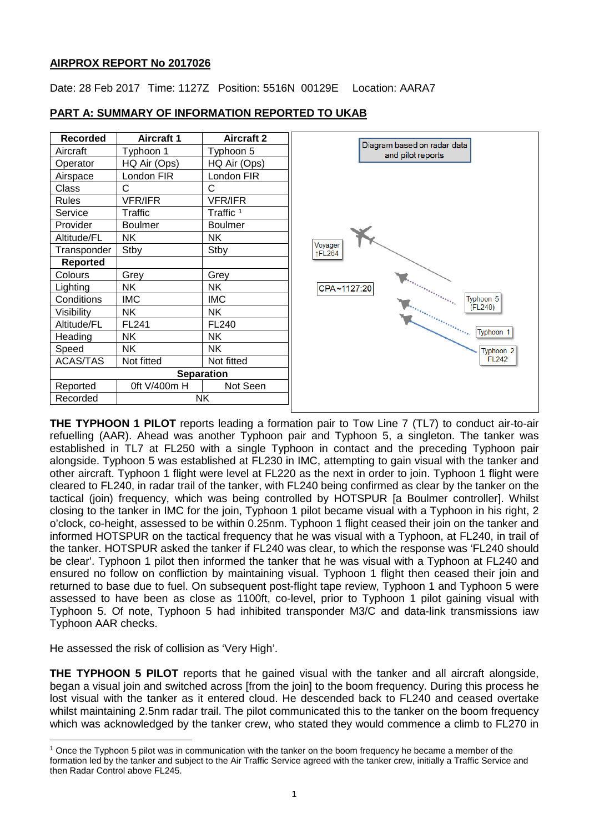## **AIRPROX REPORT No 2017026**

Date: 28 Feb 2017 Time: 1127Z Position: 5516N 00129E Location: AARA7



## **PART A: SUMMARY OF INFORMATION REPORTED TO UKAB**

**THE TYPHOON 1 PILOT** reports leading a formation pair to Tow Line 7 (TL7) to conduct air-to-air refuelling (AAR). Ahead was another Typhoon pair and Typhoon 5, a singleton. The tanker was established in TL7 at FL250 with a single Typhoon in contact and the preceding Typhoon pair alongside. Typhoon 5 was established at FL230 in IMC, attempting to gain visual with the tanker and other aircraft. Typhoon 1 flight were level at FL220 as the next in order to join. Typhoon 1 flight were cleared to FL240, in radar trail of the tanker, with FL240 being confirmed as clear by the tanker on the tactical (join) frequency, which was being controlled by HOTSPUR [a Boulmer controller]. Whilst closing to the tanker in IMC for the join, Typhoon 1 pilot became visual with a Typhoon in his right, 2 o'clock, co-height, assessed to be within 0.25nm. Typhoon 1 flight ceased their join on the tanker and informed HOTSPUR on the tactical frequency that he was visual with a Typhoon, at FL240, in trail of the tanker. HOTSPUR asked the tanker if FL240 was clear, to which the response was 'FL240 should be clear'. Typhoon 1 pilot then informed the tanker that he was visual with a Typhoon at FL240 and ensured no follow on confliction by maintaining visual. Typhoon 1 flight then ceased their join and returned to base due to fuel. On subsequent post-flight tape review, Typhoon 1 and Typhoon 5 were assessed to have been as close as 1100ft, co-level, prior to Typhoon 1 pilot gaining visual with Typhoon 5. Of note, Typhoon 5 had inhibited transponder M3/C and data-link transmissions iaw Typhoon AAR checks.

He assessed the risk of collision as 'Very High'.

 $\overline{\phantom{a}}$ 

**THE TYPHOON 5 PILOT** reports that he gained visual with the tanker and all aircraft alongside, began a visual join and switched across [from the join] to the boom frequency. During this process he lost visual with the tanker as it entered cloud. He descended back to FL240 and ceased overtake whilst maintaining 2.5nm radar trail. The pilot communicated this to the tanker on the boom frequency which was acknowledged by the tanker crew, who stated they would commence a climb to FL270 in

<span id="page-0-0"></span> $1$  Once the Typhoon 5 pilot was in communication with the tanker on the boom frequency he became a member of the formation led by the tanker and subject to the Air Traffic Service agreed with the tanker crew, initially a Traffic Service and then Radar Control above FL245.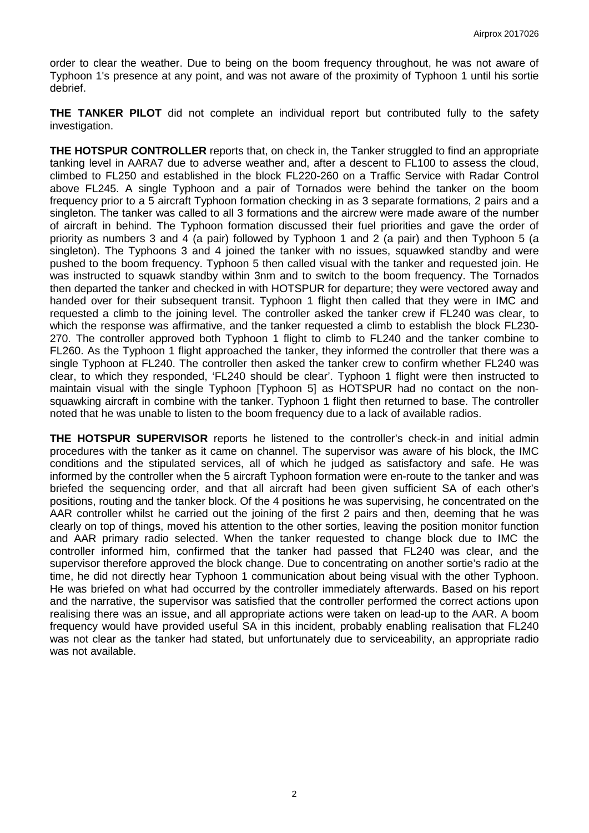order to clear the weather. Due to being on the boom frequency throughout, he was not aware of Typhoon 1's presence at any point, and was not aware of the proximity of Typhoon 1 until his sortie debrief.

**THE TANKER PILOT** did not complete an individual report but contributed fully to the safety investigation.

**THE HOTSPUR CONTROLLER** reports that, on check in, the Tanker struggled to find an appropriate tanking level in AARA7 due to adverse weather and, after a descent to FL100 to assess the cloud, climbed to FL250 and established in the block FL220-260 on a Traffic Service with Radar Control above FL245. A single Typhoon and a pair of Tornados were behind the tanker on the boom frequency prior to a 5 aircraft Typhoon formation checking in as 3 separate formations, 2 pairs and a singleton. The tanker was called to all 3 formations and the aircrew were made aware of the number of aircraft in behind. The Typhoon formation discussed their fuel priorities and gave the order of priority as numbers 3 and 4 (a pair) followed by Typhoon 1 and 2 (a pair) and then Typhoon 5 (a singleton). The Typhoons 3 and 4 joined the tanker with no issues, squawked standby and were pushed to the boom frequency. Typhoon 5 then called visual with the tanker and requested join. He was instructed to squawk standby within 3nm and to switch to the boom frequency. The Tornados then departed the tanker and checked in with HOTSPUR for departure; they were vectored away and handed over for their subsequent transit. Typhoon 1 flight then called that they were in IMC and requested a climb to the joining level. The controller asked the tanker crew if FL240 was clear, to which the response was affirmative, and the tanker requested a climb to establish the block FL230- 270. The controller approved both Typhoon 1 flight to climb to FL240 and the tanker combine to FL260. As the Typhoon 1 flight approached the tanker, they informed the controller that there was a single Typhoon at FL240. The controller then asked the tanker crew to confirm whether FL240 was clear, to which they responded, 'FL240 should be clear'. Typhoon 1 flight were then instructed to maintain visual with the single Typhoon [Typhoon 5] as HOTSPUR had no contact on the nonsquawking aircraft in combine with the tanker. Typhoon 1 flight then returned to base. The controller noted that he was unable to listen to the boom frequency due to a lack of available radios.

**THE HOTSPUR SUPERVISOR** reports he listened to the controller's check-in and initial admin procedures with the tanker as it came on channel. The supervisor was aware of his block, the IMC conditions and the stipulated services, all of which he judged as satisfactory and safe. He was informed by the controller when the 5 aircraft Typhoon formation were en-route to the tanker and was briefed the sequencing order, and that all aircraft had been given sufficient SA of each other's positions, routing and the tanker block. Of the 4 positions he was supervising, he concentrated on the AAR controller whilst he carried out the joining of the first 2 pairs and then, deeming that he was clearly on top of things, moved his attention to the other sorties, leaving the position monitor function and AAR primary radio selected. When the tanker requested to change block due to IMC the controller informed him, confirmed that the tanker had passed that FL240 was clear, and the supervisor therefore approved the block change. Due to concentrating on another sortie's radio at the time, he did not directly hear Typhoon 1 communication about being visual with the other Typhoon. He was briefed on what had occurred by the controller immediately afterwards. Based on his report and the narrative, the supervisor was satisfied that the controller performed the correct actions upon realising there was an issue, and all appropriate actions were taken on lead-up to the AAR. A boom frequency would have provided useful SA in this incident, probably enabling realisation that FL240 was not clear as the tanker had stated, but unfortunately due to serviceability, an appropriate radio was not available.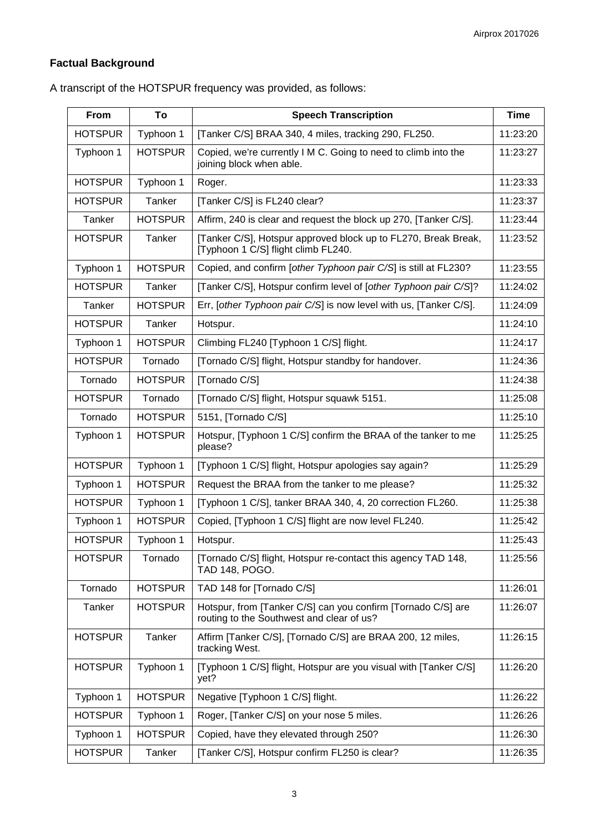# **Factual Background**

| From           | To             | <b>Speech Transcription</b>                                                                               | <b>Time</b> |
|----------------|----------------|-----------------------------------------------------------------------------------------------------------|-------------|
| <b>HOTSPUR</b> | Typhoon 1      | [Tanker C/S] BRAA 340, 4 miles, tracking 290, FL250.                                                      | 11:23:20    |
| Typhoon 1      | <b>HOTSPUR</b> | Copied, we're currently I M C. Going to need to climb into the<br>joining block when able.                | 11:23:27    |
| <b>HOTSPUR</b> | Typhoon 1      | Roger.                                                                                                    | 11:23:33    |
| <b>HOTSPUR</b> | Tanker         | [Tanker C/S] is FL240 clear?                                                                              | 11:23:37    |
| Tanker         | <b>HOTSPUR</b> | Affirm, 240 is clear and request the block up 270, [Tanker C/S].                                          | 11:23:44    |
| <b>HOTSPUR</b> | Tanker         | [Tanker C/S], Hotspur approved block up to FL270, Break Break,<br>[Typhoon 1 C/S] flight climb FL240.     | 11:23:52    |
| Typhoon 1      | <b>HOTSPUR</b> | Copied, and confirm [other Typhoon pair C/S] is still at FL230?                                           | 11:23:55    |
| <b>HOTSPUR</b> | Tanker         | [Tanker C/S], Hotspur confirm level of [other Typhoon pair C/S]?                                          | 11:24:02    |
| Tanker         | <b>HOTSPUR</b> | Err, [other Typhoon pair C/S] is now level with us, [Tanker C/S].                                         | 11:24:09    |
| <b>HOTSPUR</b> | Tanker         | Hotspur.                                                                                                  | 11:24:10    |
| Typhoon 1      | <b>HOTSPUR</b> | Climbing FL240 [Typhoon 1 C/S] flight.                                                                    | 11:24:17    |
| <b>HOTSPUR</b> | Tornado        | [Tornado C/S] flight, Hotspur standby for handover.                                                       | 11:24:36    |
| Tornado        | <b>HOTSPUR</b> | [Tornado C/S]                                                                                             | 11:24:38    |
| <b>HOTSPUR</b> | Tornado        | [Tornado C/S] flight, Hotspur squawk 5151.                                                                | 11:25:08    |
| Tornado        | <b>HOTSPUR</b> | 5151, [Tornado C/S]                                                                                       | 11:25:10    |
| Typhoon 1      | <b>HOTSPUR</b> | Hotspur, [Typhoon 1 C/S] confirm the BRAA of the tanker to me<br>please?                                  | 11:25:25    |
| <b>HOTSPUR</b> | Typhoon 1      | [Typhoon 1 C/S] flight, Hotspur apologies say again?                                                      | 11:25:29    |
| Typhoon 1      | <b>HOTSPUR</b> | Request the BRAA from the tanker to me please?                                                            | 11:25:32    |
| <b>HOTSPUR</b> | Typhoon 1      | [Typhoon 1 C/S], tanker BRAA 340, 4, 20 correction FL260.                                                 | 11:25:38    |
| Typhoon 1      | <b>HOTSPUR</b> | Copied, [Typhoon 1 C/S] flight are now level FL240.                                                       | 11:25:42    |
| <b>HOTSPUR</b> | Typhoon 1      | Hotspur.                                                                                                  | 11:25:43    |
| <b>HOTSPUR</b> | Tornado        | [Tornado C/S] flight, Hotspur re-contact this agency TAD 148,<br>TAD 148, POGO.                           | 11:25:56    |
| Tornado        | <b>HOTSPUR</b> | TAD 148 for [Tornado C/S]                                                                                 | 11:26:01    |
| Tanker         | <b>HOTSPUR</b> | Hotspur, from [Tanker C/S] can you confirm [Tornado C/S] are<br>routing to the Southwest and clear of us? | 11:26:07    |
| <b>HOTSPUR</b> | Tanker         | Affirm [Tanker C/S], [Tornado C/S] are BRAA 200, 12 miles,<br>tracking West.                              | 11:26:15    |
| <b>HOTSPUR</b> | Typhoon 1      | [Typhoon 1 C/S] flight, Hotspur are you visual with [Tanker C/S]<br>yet?                                  | 11:26:20    |
| Typhoon 1      | <b>HOTSPUR</b> | Negative [Typhoon 1 C/S] flight.                                                                          | 11:26:22    |
| <b>HOTSPUR</b> | Typhoon 1      | Roger, [Tanker C/S] on your nose 5 miles.                                                                 | 11:26:26    |
| Typhoon 1      | <b>HOTSPUR</b> | Copied, have they elevated through 250?                                                                   | 11:26:30    |
| <b>HOTSPUR</b> | Tanker         | [Tanker C/S], Hotspur confirm FL250 is clear?                                                             | 11:26:35    |

A transcript of the HOTSPUR frequency was provided, as follows: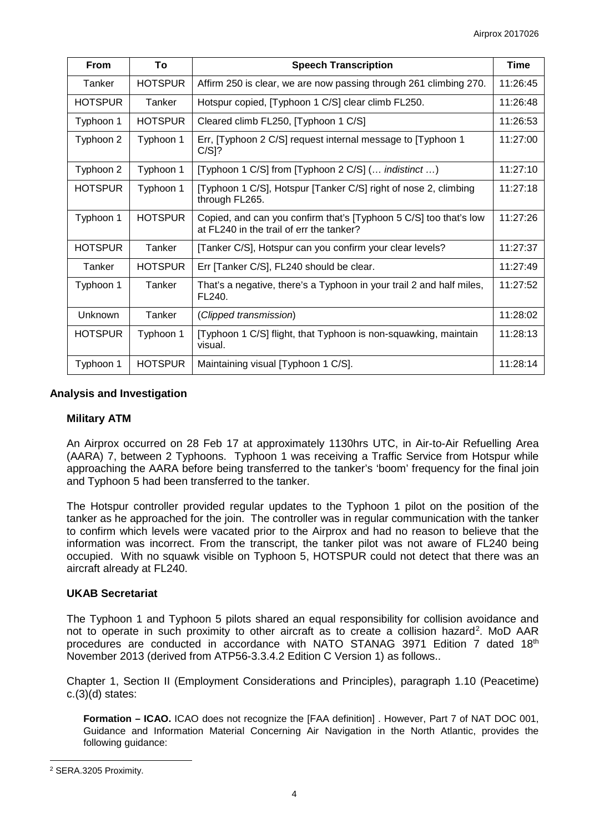| From           | To             | <b>Speech Transcription</b>                                                                                   | <b>Time</b> |
|----------------|----------------|---------------------------------------------------------------------------------------------------------------|-------------|
| Tanker         | <b>HOTSPUR</b> | Affirm 250 is clear, we are now passing through 261 climbing 270.                                             | 11:26:45    |
| <b>HOTSPUR</b> | Tanker         | Hotspur copied, [Typhoon 1 C/S] clear climb FL250.                                                            | 11:26:48    |
| Typhoon 1      | <b>HOTSPUR</b> | Cleared climb FL250, [Typhoon 1 C/S]                                                                          | 11:26:53    |
| Typhoon 2      | Typhoon 1      | Err, [Typhoon 2 C/S] request internal message to [Typhoon 1<br>$C/S$ ]?                                       | 11:27:00    |
| Typhoon 2      | Typhoon 1      | [Typhoon 1 C/S] from [Typhoon 2 C/S] ( <i>indistinct </i> )                                                   | 11:27:10    |
| <b>HOTSPUR</b> | Typhoon 1      | [Typhoon 1 C/S], Hotspur [Tanker C/S] right of nose 2, climbing<br>through FL265.                             | 11:27:18    |
| Typhoon 1      | <b>HOTSPUR</b> | Copied, and can you confirm that's [Typhoon 5 C/S] too that's low<br>at FL240 in the trail of err the tanker? | 11:27:26    |
| <b>HOTSPUR</b> | Tanker         | [Tanker C/S], Hotspur can you confirm your clear levels?                                                      | 11:27:37    |
| Tanker         | <b>HOTSPUR</b> | Err [Tanker C/S], FL240 should be clear.                                                                      | 11:27:49    |
| Typhoon 1      | Tanker         | That's a negative, there's a Typhoon in your trail 2 and half miles,<br>FL240.                                | 11:27:52    |
| <b>Unknown</b> | Tanker         | (Clipped transmission)                                                                                        | 11:28:02    |
| <b>HOTSPUR</b> | Typhoon 1      | [Typhoon 1 C/S] flight, that Typhoon is non-squawking, maintain<br>visual.                                    | 11:28:13    |
| Typhoon 1      | <b>HOTSPUR</b> | Maintaining visual [Typhoon 1 C/S].                                                                           | 11:28:14    |

## **Analysis and Investigation**

## **Military ATM**

An Airprox occurred on 28 Feb 17 at approximately 1130hrs UTC, in Air-to-Air Refuelling Area (AARA) 7, between 2 Typhoons. Typhoon 1 was receiving a Traffic Service from Hotspur while approaching the AARA before being transferred to the tanker's 'boom' frequency for the final join and Typhoon 5 had been transferred to the tanker.

The Hotspur controller provided regular updates to the Typhoon 1 pilot on the position of the tanker as he approached for the join. The controller was in regular communication with the tanker to confirm which levels were vacated prior to the Airprox and had no reason to believe that the information was incorrect. From the transcript, the tanker pilot was not aware of FL240 being occupied. With no squawk visible on Typhoon 5, HOTSPUR could not detect that there was an aircraft already at FL240.

## **UKAB Secretariat**

The Typhoon 1 and Typhoon 5 pilots shared an equal responsibility for collision avoidance and not to operate in such proximity to other aircraft as to create a collision hazard<sup>[2](#page-3-0)</sup>. MoD AAR procedures are conducted in accordance with NATO STANAG 3971 Edition 7 dated 18th November 2013 (derived from ATP56-3.3.4.2 Edition C Version 1) as follows..

Chapter 1, Section II (Employment Considerations and Principles), paragraph 1.10 (Peacetime) c.(3)(d) states:

**Formation – ICAO.** ICAO does not recognize the [FAA definition] . However, Part 7 of NAT DOC 001, Guidance and Information Material Concerning Air Navigation in the North Atlantic, provides the following guidance:

 $\overline{\phantom{a}}$ 

<span id="page-3-0"></span><sup>2</sup> SERA.3205 Proximity.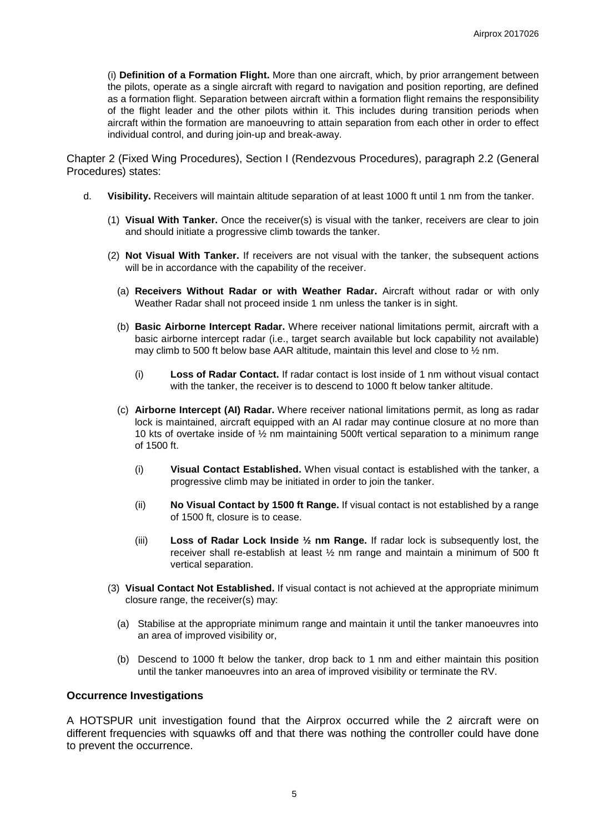(i) **Definition of a Formation Flight.** More than one aircraft, which, by prior arrangement between the pilots, operate as a single aircraft with regard to navigation and position reporting, are defined as a formation flight. Separation between aircraft within a formation flight remains the responsibility of the flight leader and the other pilots within it. This includes during transition periods when aircraft within the formation are manoeuvring to attain separation from each other in order to effect individual control, and during join-up and break-away.

Chapter 2 (Fixed Wing Procedures), Section I (Rendezvous Procedures), paragraph 2.2 (General Procedures) states:

- d. **Visibility.** Receivers will maintain altitude separation of at least 1000 ft until 1 nm from the tanker.
	- (1) **Visual With Tanker.** Once the receiver(s) is visual with the tanker, receivers are clear to join and should initiate a progressive climb towards the tanker.
	- (2) **Not Visual With Tanker.** If receivers are not visual with the tanker, the subsequent actions will be in accordance with the capability of the receiver.
		- (a) **Receivers Without Radar or with Weather Radar.** Aircraft without radar or with only Weather Radar shall not proceed inside 1 nm unless the tanker is in sight.
		- (b) **Basic Airborne Intercept Radar.** Where receiver national limitations permit, aircraft with a basic airborne intercept radar (i.e., target search available but lock capability not available) may climb to 500 ft below base AAR altitude, maintain this level and close to ½ nm.
			- (i) **Loss of Radar Contact.** If radar contact is lost inside of 1 nm without visual contact with the tanker, the receiver is to descend to 1000 ft below tanker altitude.
		- (c) **Airborne Intercept (AI) Radar.** Where receiver national limitations permit, as long as radar lock is maintained, aircraft equipped with an AI radar may continue closure at no more than 10 kts of overtake inside of ½ nm maintaining 500ft vertical separation to a minimum range of 1500 ft.
			- (i) **Visual Contact Established.** When visual contact is established with the tanker, a progressive climb may be initiated in order to join the tanker.
			- (ii) **No Visual Contact by 1500 ft Range.** If visual contact is not established by a range of 1500 ft, closure is to cease.
			- (iii) **Loss of Radar Lock Inside ½ nm Range.** If radar lock is subsequently lost, the receiver shall re-establish at least ½ nm range and maintain a minimum of 500 ft vertical separation.
	- (3) **Visual Contact Not Established.** If visual contact is not achieved at the appropriate minimum closure range, the receiver(s) may:
		- (a) Stabilise at the appropriate minimum range and maintain it until the tanker manoeuvres into an area of improved visibility or,
		- (b) Descend to 1000 ft below the tanker, drop back to 1 nm and either maintain this position until the tanker manoeuvres into an area of improved visibility or terminate the RV.

#### **Occurrence Investigations**

A HOTSPUR unit investigation found that the Airprox occurred while the 2 aircraft were on different frequencies with squawks off and that there was nothing the controller could have done to prevent the occurrence.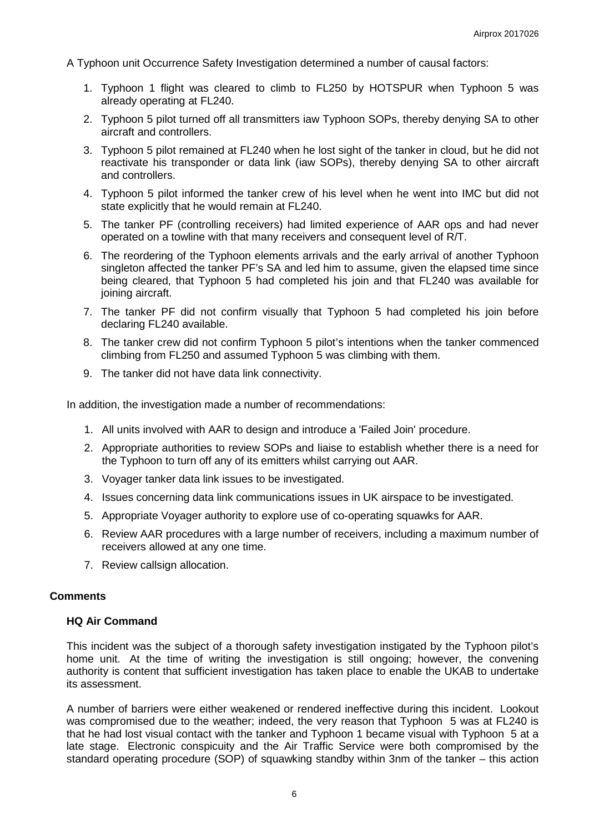A Typhoon unit Occurrence Safety Investigation determined a number of causal factors:

- 1. Typhoon 1 flight was cleared to climb to FL250 by HOTSPUR when Typhoon 5 was already operating at FL240.
- 2. Typhoon 5 pilot turned off all transmitters iaw Typhoon SOPs, thereby denying SA to other aircraft and controllers.
- 3. Typhoon 5 pilot remained at FL240 when he lost sight of the tanker in cloud, but he did not reactivate his transponder or data link (iaw SOPs), thereby denying SA to other aircraft and controllers.
- 4. Typhoon 5 pilot informed the tanker crew of his level when he went into IMC but did not state explicitly that he would remain at FL240.
- 5. The tanker PF (controlling receivers) had limited experience of AAR ops and had never operated on a towline with that many receivers and consequent level of R/T.
- 6. The reordering of the Typhoon elements arrivals and the early arrival of another Typhoon singleton affected the tanker PF's SA and led him to assume, given the elapsed time since being cleared, that Typhoon 5 had completed his join and that FL240 was available for joining aircraft.
- 7. The tanker PF did not confirm visually that Typhoon 5 had completed his join before declaring FL240 available.
- 8. The tanker crew did not confirm Typhoon 5 pilot's intentions when the tanker commenced climbing from FL250 and assumed Typhoon 5 was climbing with them.
- 9. The tanker did not have data link connectivity.

In addition, the investigation made a number of recommendations:

- 1. All units involved with AAR to design and introduce a 'Failed Join' procedure.
- 2. Appropriate authorities to review SOPs and liaise to establish whether there is a need for the Typhoon to turn off any of its emitters whilst carrying out AAR.
- 3. Voyager tanker data link issues to be investigated.
- 4. Issues concerning data link communications issues in UK airspace to be investigated.
- 5. Appropriate Voyager authority to explore use of co-operating squawks for AAR.
- 6. Review AAR procedures with a large number of receivers, including a maximum number of receivers allowed at any one time.
- 7. Review callsign allocation.

#### **Comments**

#### **HQ Air Command**

This incident was the subject of a thorough safety investigation instigated by the Typhoon pilot's home unit. At the time of writing the investigation is still ongoing; however, the convening authority is content that sufficient investigation has taken place to enable the UKAB to undertake its assessment.

A number of barriers were either weakened or rendered ineffective during this incident. Lookout was compromised due to the weather; indeed, the very reason that Typhoon 5 was at FL240 is that he had lost visual contact with the tanker and Typhoon 1 became visual with Typhoon 5 at a late stage. Electronic conspicuity and the Air Traffic Service were both compromised by the standard operating procedure (SOP) of squawking standby within 3nm of the tanker – this action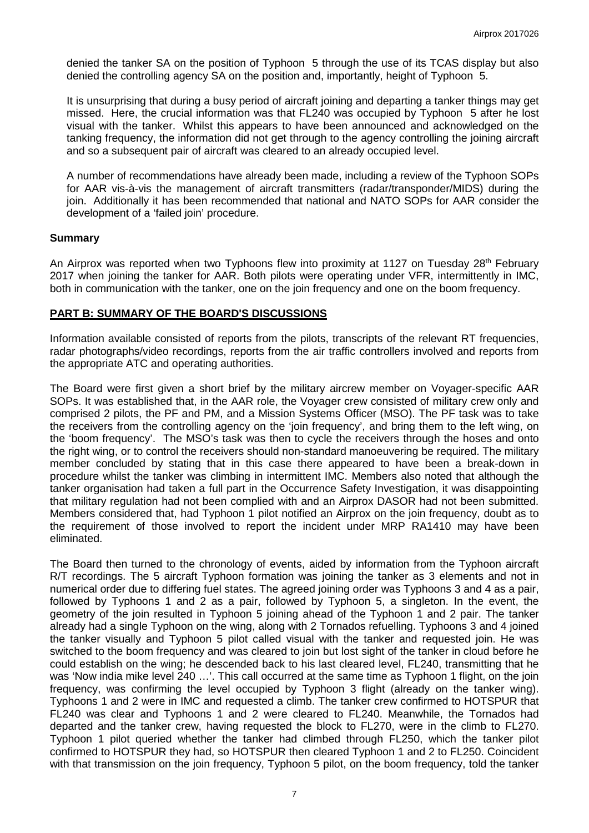denied the tanker SA on the position of Typhoon 5 through the use of its TCAS display but also denied the controlling agency SA on the position and, importantly, height of Typhoon 5.

It is unsurprising that during a busy period of aircraft joining and departing a tanker things may get missed. Here, the crucial information was that FL240 was occupied by Typhoon 5 after he lost visual with the tanker. Whilst this appears to have been announced and acknowledged on the tanking frequency, the information did not get through to the agency controlling the joining aircraft and so a subsequent pair of aircraft was cleared to an already occupied level.

A number of recommendations have already been made, including a review of the Typhoon SOPs for AAR vis-à-vis the management of aircraft transmitters (radar/transponder/MIDS) during the join. Additionally it has been recommended that national and NATO SOPs for AAR consider the development of a 'failed join' procedure.

#### **Summary**

An Airprox was reported when two Typhoons flew into proximity at 1127 on Tuesday 28<sup>th</sup> February 2017 when joining the tanker for AAR. Both pilots were operating under VFR, intermittently in IMC, both in communication with the tanker, one on the join frequency and one on the boom frequency.

### **PART B: SUMMARY OF THE BOARD'S DISCUSSIONS**

Information available consisted of reports from the pilots, transcripts of the relevant RT frequencies, radar photographs/video recordings, reports from the air traffic controllers involved and reports from the appropriate ATC and operating authorities.

The Board were first given a short brief by the military aircrew member on Voyager-specific AAR SOPs. It was established that, in the AAR role, the Voyager crew consisted of military crew only and comprised 2 pilots, the PF and PM, and a Mission Systems Officer (MSO). The PF task was to take the receivers from the controlling agency on the 'join frequency', and bring them to the left wing, on the 'boom frequency'. The MSO's task was then to cycle the receivers through the hoses and onto the right wing, or to control the receivers should non-standard manoeuvering be required. The military member concluded by stating that in this case there appeared to have been a break-down in procedure whilst the tanker was climbing in intermittent IMC. Members also noted that although the tanker organisation had taken a full part in the Occurrence Safety Investigation, it was disappointing that military regulation had not been complied with and an Airprox DASOR had not been submitted. Members considered that, had Typhoon 1 pilot notified an Airprox on the join frequency, doubt as to the requirement of those involved to report the incident under MRP RA1410 may have been eliminated.

The Board then turned to the chronology of events, aided by information from the Typhoon aircraft R/T recordings. The 5 aircraft Typhoon formation was joining the tanker as 3 elements and not in numerical order due to differing fuel states. The agreed joining order was Typhoons 3 and 4 as a pair, followed by Typhoons 1 and 2 as a pair, followed by Typhoon 5, a singleton. In the event, the geometry of the join resulted in Typhoon 5 joining ahead of the Typhoon 1 and 2 pair. The tanker already had a single Typhoon on the wing, along with 2 Tornados refuelling. Typhoons 3 and 4 joined the tanker visually and Typhoon 5 pilot called visual with the tanker and requested join. He was switched to the boom frequency and was cleared to join but lost sight of the tanker in cloud before he could establish on the wing; he descended back to his last cleared level, FL240, transmitting that he was 'Now india mike level 240 ...'. This call occurred at the same time as Typhoon 1 flight, on the join frequency, was confirming the level occupied by Typhoon 3 flight (already on the tanker wing). Typhoons 1 and 2 were in IMC and requested a climb. The tanker crew confirmed to HOTSPUR that FL240 was clear and Typhoons 1 and 2 were cleared to FL240. Meanwhile, the Tornados had departed and the tanker crew, having requested the block to FL270, were in the climb to FL270. Typhoon 1 pilot queried whether the tanker had climbed through FL250, which the tanker pilot confirmed to HOTSPUR they had, so HOTSPUR then cleared Typhoon 1 and 2 to FL250. Coincident with that transmission on the join frequency, Typhoon 5 pilot, on the boom frequency, told the tanker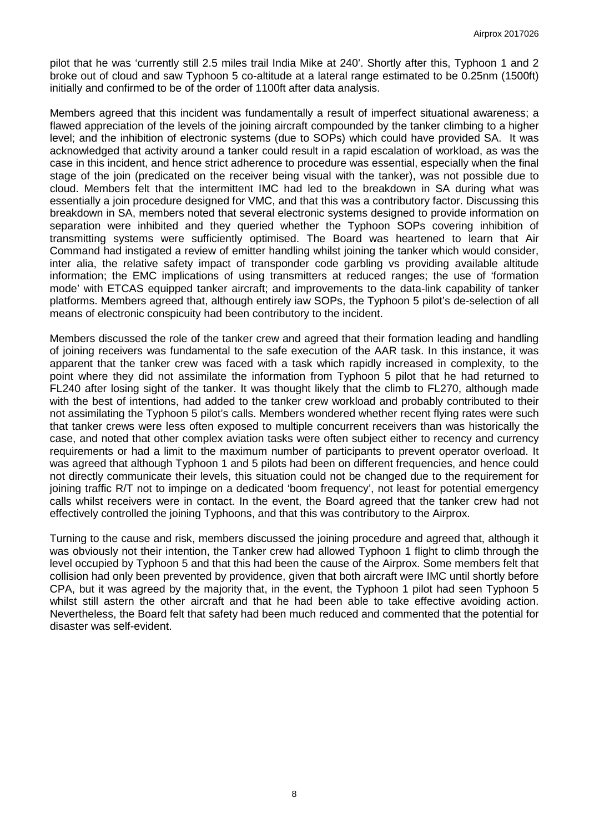pilot that he was 'currently still 2.5 miles trail India Mike at 240'. Shortly after this, Typhoon 1 and 2 broke out of cloud and saw Typhoon 5 co-altitude at a lateral range estimated to be 0.25nm (1500ft) initially and confirmed to be of the order of 1100ft after data analysis.

Members agreed that this incident was fundamentally a result of imperfect situational awareness; a flawed appreciation of the levels of the joining aircraft compounded by the tanker climbing to a higher level; and the inhibition of electronic systems (due to SOPs) which could have provided SA. It was acknowledged that activity around a tanker could result in a rapid escalation of workload, as was the case in this incident, and hence strict adherence to procedure was essential, especially when the final stage of the join (predicated on the receiver being visual with the tanker), was not possible due to cloud. Members felt that the intermittent IMC had led to the breakdown in SA during what was essentially a join procedure designed for VMC, and that this was a contributory factor. Discussing this breakdown in SA, members noted that several electronic systems designed to provide information on separation were inhibited and they queried whether the Typhoon SOPs covering inhibition of transmitting systems were sufficiently optimised. The Board was heartened to learn that Air Command had instigated a review of emitter handling whilst joining the tanker which would consider, inter alia, the relative safety impact of transponder code garbling vs providing available altitude information; the EMC implications of using transmitters at reduced ranges; the use of 'formation mode' with ETCAS equipped tanker aircraft; and improvements to the data-link capability of tanker platforms. Members agreed that, although entirely iaw SOPs, the Typhoon 5 pilot's de-selection of all means of electronic conspicuity had been contributory to the incident.

Members discussed the role of the tanker crew and agreed that their formation leading and handling of joining receivers was fundamental to the safe execution of the AAR task. In this instance, it was apparent that the tanker crew was faced with a task which rapidly increased in complexity, to the point where they did not assimilate the information from Typhoon 5 pilot that he had returned to FL240 after losing sight of the tanker. It was thought likely that the climb to FL270, although made with the best of intentions, had added to the tanker crew workload and probably contributed to their not assimilating the Typhoon 5 pilot's calls. Members wondered whether recent flying rates were such that tanker crews were less often exposed to multiple concurrent receivers than was historically the case, and noted that other complex aviation tasks were often subject either to recency and currency requirements or had a limit to the maximum number of participants to prevent operator overload. It was agreed that although Typhoon 1 and 5 pilots had been on different frequencies, and hence could not directly communicate their levels, this situation could not be changed due to the requirement for joining traffic R/T not to impinge on a dedicated 'boom frequency', not least for potential emergency calls whilst receivers were in contact. In the event, the Board agreed that the tanker crew had not effectively controlled the joining Typhoons, and that this was contributory to the Airprox.

Turning to the cause and risk, members discussed the joining procedure and agreed that, although it was obviously not their intention, the Tanker crew had allowed Typhoon 1 flight to climb through the level occupied by Typhoon 5 and that this had been the cause of the Airprox. Some members felt that collision had only been prevented by providence, given that both aircraft were IMC until shortly before CPA, but it was agreed by the majority that, in the event, the Typhoon 1 pilot had seen Typhoon 5 whilst still astern the other aircraft and that he had been able to take effective avoiding action. Nevertheless, the Board felt that safety had been much reduced and commented that the potential for disaster was self-evident.